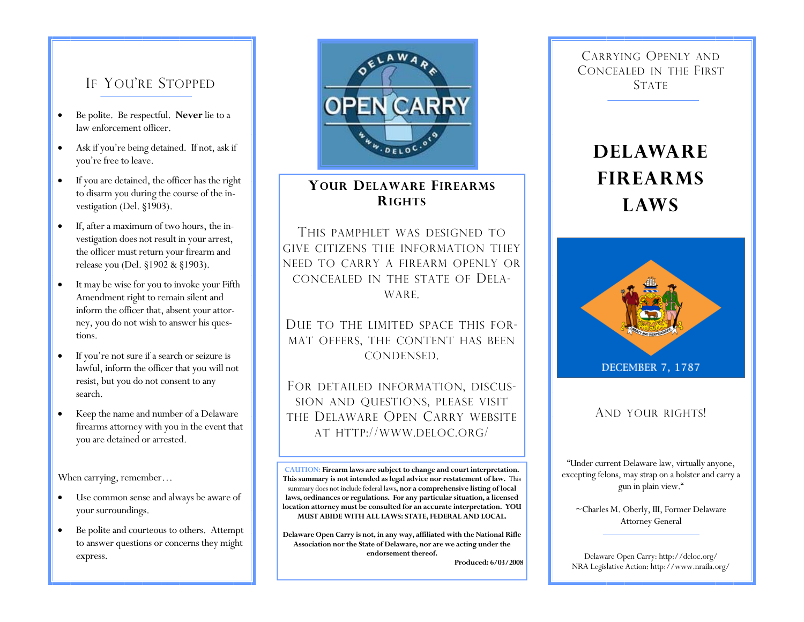### IF YOU'RE STOPPED

- Be polite. Be respectful. **Never** lie to a law enforcement officer.
- Ask if you're being detained. If not, ask if you're free to leave.
- If you are detained, the officer has the right to disarm you during the course of the investigation (Del. §1903).
- If, after a maximum of two hours, the investigation does not result in your arrest, the officer must return your firearm and release you (Del. §1902 & §1903).
- It may be wise for you to invoke your Fifth Amendment right to remain silent and inform the officer that, absent your attorney, you do not wish to answer his questions.
- If you're not sure if a search or seizure is lawful, inform the officer that you will not resist, but you do not consent to any search.
- Keep the name and number of a Delaware firearms attorney with you in the event that you are detained or arrested.

When carrying, remember...

- Use common sense and always be aware of your surroundings.
- Be polite and courteous to others. Attempt to answer questions or concerns they might



#### **YOUR DELAWARE FIREARMSRIGHTS**

THIS PAMPHLET WAS DESIGNED TOGIVE CITIZENS THE INFORMATION THEY NEED TO CARRY A FIREARM OPENLY OR CONCEALED IN THE STATE OF DELA-WARE.

DUE TO THE LIMITED SPACE THIS FOR-MAT OFFERS, THE CONTENT HAS BEEN CONDENSED.

FOR DETAILED INFORMATION, DISCUS-SION AND QUESTIONS, PLEASE VISIT THE DELAWARE OPEN CARRY WEBSITE AT HTTP://WWW.DELOC.ORG/

**CAUTION: Firearm laws are subject to change and court interpretation. This summary is not intended as legal advice nor restatement of law.** This summary does not include federal laws**, nor a comprehensive listing of local laws, ordinances or regulations. For any particular situation, a licensed location attorney must be consulted for an accurate interpretation. YOU MUST ABIDE WITH ALL LAWS: STATE, FEDERAL AND LOCAL.** 

**Delaware Open Carry is not, in any way, affiliated with the National Rifle Association nor the State of Delaware, nor are we acting under the endorsement thereof.** express. **Express. Express. Express. Express. Express. Express. Express. Express. Express. Express. Express. Express. Express. Express. Express. Express. Express. Express. Express. Exp** 

**Produced: 6/03/2008** 

CARRYING OPENLY ANDCONCEALED IN THE FIRST **STATE** 

# **DELAWAREFIREARMSLAWS**



AND YOUR RIGHTS!

"Under current Delaware law, virtually anyone, excepting felons, may strap on a holster and carry a gun in plain view."

~Charles M. Oberly, III, Former Delaware Attorney General

NRA Legislative Action: http://www.nraila.org/